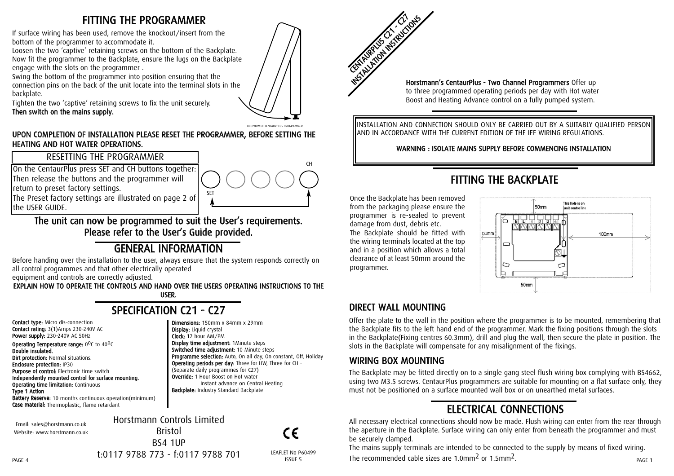### FITTING THE PROGRAMMER

If surface wiring has been used, remove the knockout/insert from the bottom of the programmer to accommodate it.

Loosen the two 'captive' retaining screws on the bottom of the Backplate. Now fit the programmer to the Backplate, ensure the lugs on the Backplate engage with the slots on the programmer .

Swing the bottom of the programmer into position ensuring that the connection pins on the back of the unit locate into the terminal slots in the backplate.

Tighten the two 'captive' retaining screws to fix the unit securely. Then switch on the mains supply.



#### END VIEW OF CENTAURDLUS PROCRAMME

CH

#### UPON COMPLETION OF INSTALLATION PLEASE RESET THE PROGRAMMER, BEFORE SETTING THE HEATING AND HOT WATER OPERATIONS.

#### RESETTING THE PROGRAMMER

On the CentaurPlus press SET and CH buttons together: Then release the buttons and the programmer will return to preset factory settings. The Preset factory settings are illustrated on page 2 of

#### The unit can now be programmed to suit the User's requirements. Please refer to the User's Guide provided.

# GENERAL INFORMATION

Before handing over the installation to the user, always ensure that the system responds correctly on all control programmes and that other electrically operated

equipment and controls are correctly adjusted.

EXPLAIN HOW TO OPERATE THE CONTROLS AND HAND OVER THE USERS OPERATING INSTRUCTIONS TO THE USER.

# SPECIFICATION C21 - C27

Dimensions: 150mm x 84mm x 29mm

SET

Display time adjustment: 1Minute steps Switched time adjustment: 10 Minute steps

(Separate daily programmes for C27) Override: 1 Hour Boost on Hot water

**Backplate: Industry Standard Backplate** 

Programme selection: Auto, On all day, On constant, Off, Holiday Operating periods per day: Three for HW, Three for CH -

Instant advance on Central Heating

Display: Liquid crystal Clock: 12 hour AM/PM

Contact type: Micro dis-connection Contact rating: 3(1)Amps 230-240V AC Power supply: 230-240V AC 50Hz

the USER GUIDE.

Operating Temperature range:  $0^0C$  to  $40^0C$ Double insulated. **Dirt protection: Normal situations.** Enclosure protection: IP30 Purpose of control: Electronic time switch Independently mounted control for surface mounting. Operating time limitation: Continuous Type 1 Action Battery Reserve: 10 months continuous operation(minimum)

Case material: Thermoplastic, flame retardant

Email: sales@horstmann.co.uk Website: www.horstmann.co.uk

Horstmann Controls Limited Bristol BS4 1UP t:0117 9788 773 - f:0117 9788 701

 $\epsilon$ LEAFLET No P60499

ISSUE 5

CENTRUS C21 IS NOT CONTROL Horstmann's CentaurPlus - Two Channel Programmers Offer up to three programmed operating periods per day with Hot water Boost and Heating Advance control on a fully pumped system.

INSTALLATION AND CONNECTION SHOULD ONLY BE CARRIED OUT BY A SUITABLY QUALIFIED PERSON AND IN ACCORDANCE WITH THE CURRENT EDITION OF THE IEE WIRING REGULATIONS.

WARNING : ISOLATE MAINS SUPPLY BEFORE COMMENCING INSTALLATION

# FITTING THE BACKPLATE

Once the Backplate has been removed from the packaging please ensure the programmer is re-sealed to prevent damage from dust, debris etc.

The Backplate should be fitted with the wiring terminals located at the top and in a position which allows a total clearance of at least 50mm around the programmer.



### DIRECT WALL MOUNTING

Offer the plate to the wall in the position where the programmer is to be mounted, remembering that the Backplate fits to the left hand end of the programmer. Mark the fixing positions through the slots in the Backplate(Fixing centres 60.3mm), drill and plug the wall, then secure the plate in position. The slots in the Backplate will compensate for any misalignment of the fixings.

#### WIRING BOX MOUNTING

The Backplate may be fitted directly on to a single gang steel flush wiring box complying with BS4662, using two M3.5 screws. CentaurPlus programmers are suitable for mounting on a flat surface only, they must not be positioned on a surface mounted wall box or on unearthed metal surfaces.

# ELECTRICAL CONNECTIONS

All necessary electrical connections should now be made. Flush wiring can enter from the rear through the aperture in the Backplate. Surface wiring can only enter from beneath the programmer and must be securely clamped.

The mains supply terminals are intended to be connected to the supply by means of fixed wiring. The recommended cable sizes are  $1.0$ mm<sup>2</sup> or  $1.5$ mm<sup>2</sup>.